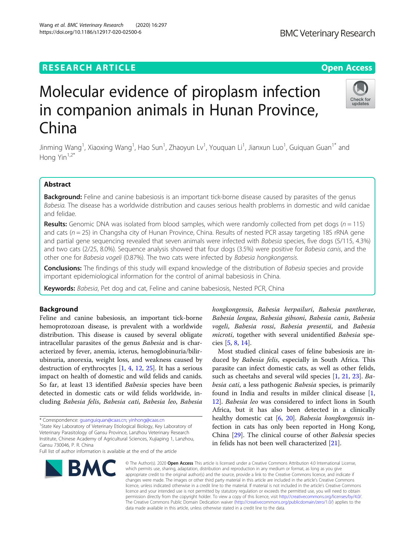## **RESEARCH ARTICLE Example 2014 12:30 The Contract of Contract ACCESS**

# Molecular evidence of piroplasm infection in companion animals in Hunan Province, China

Jinming Wang<sup>1</sup>, Xiaoxing Wang<sup>1</sup>, Hao Sun<sup>1</sup>, Zhaoyun Lv<sup>1</sup>, Youquan Li<sup>1</sup>, Jianxun Luo<sup>1</sup>, Guiquan Guan<sup>1\*</sup> and Hong Yin $1,2^*$ 

## Abstract

Background: Feline and canine babesiosis is an important tick-borne disease caused by parasites of the genus Babesia. The disease has a worldwide distribution and causes serious health problems in domestic and wild canidae and felidae.

**Results:** Genomic DNA was isolated from blood samples, which were randomly collected from pet dogs ( $n = 115$ ) and cats ( $n = 25$ ) in Changsha city of Hunan Province, China. Results of nested PCR assay targeting 18S rRNA gene and partial gene sequencing revealed that seven animals were infected with Babesia species, five dogs (5/115, 4.3%) and two cats (2/25, 8.0%). Sequence analysis showed that four dogs (3.5%) were positive for Babesia canis, and the other one for Babesia vogeli (0.87%). The two cats were infected by Babesia hongkongensis.

**Conclusions:** The findings of this study will expand knowledge of the distribution of Babesia species and provide important epidemiological information for the control of animal babesiosis in China.

Keywords: Babesia, Pet dog and cat, Feline and canine babesiosis, Nested PCR, China

## Background

Feline and canine babesiosis, an important tick-borne hemoprotozoan disease, is prevalent with a worldwide distribution. This disease is caused by several obligate intracellular parasites of the genus Babesia and is characterized by fever, anemia, icterus, hemoglobinuria/bilirubinuria, anorexia, weight loss, and weakness caused by destruction of erythrocytes [[1,](#page-3-0) [4,](#page-3-0) [12](#page-3-0), [25](#page-4-0)]. It has a serious impact on health of domestic and wild felids and canids. So far, at least 13 identified Babesia species have been detected in domestic cats or wild felids worldwide, including Babesia felis, Babesia cati, Babesia leo, Babesia

\* Correspondence: [guanguiquan@caas.cn](mailto:guanguiquan@caas.cn); [yinhong@caas.cn](mailto:yinhong@caas.cn) <sup>1</sup>

<sup>1</sup>State Key Laboratory of Veterinary Etiological Biology, Key Laboratory of Veterinary Parasitology of Gansu Province, Lanzhou Veterinary Research Institute, Chinese Academy of Agricultural Sciences, Xujiaping 1, Lanzhou, Gansu 730046, P. R. China

**BMC** 

## hongkongensis, Babesia herpailuri, Babesia pantherae, Babesia lengau, Babesia gibsoni, Babesia canis, Babesia vogeli, Babesia rossi, Babesia presentii, and Babesia microti, together with several unidentified Babesia species [[5,](#page-3-0) [8,](#page-3-0) [14\]](#page-3-0).

Most studied clinical cases of feline babesiosis are induced by Babesia felis, especially in South Africa. This parasite can infect domestic cats, as well as other felids, such as cheetahs and several wild species [\[1](#page-3-0), [21](#page-4-0), [23\]](#page-4-0). Babesia cati, a less pathogenic Babesia species, is primarily found in India and results in milder clinical disease [\[1](#page-3-0), [12\]](#page-3-0). Babesia leo was considered to infect lions in South Africa, but it has also been detected in a clinically healthy domestic cat [\[6,](#page-3-0) [20](#page-4-0)]. Babesia hongkongensis infection in cats has only been reported in Hong Kong, China [[29\]](#page-4-0). The clinical course of other Babesia species in felids has not been well characterized [\[21\]](#page-4-0).

© The Author(s), 2020 **Open Access** This article is licensed under a Creative Commons Attribution 4.0 International License, appropriate credit to the original author(s) and the source, provide a link to the Creative Commons licence, and indicate if changes were made. The images or other third party material in this article are included in the article's Creative Commons licence, unless indicated otherwise in a credit line to the material. If material is not included in the article's Creative Commons licence and your intended use is not permitted by statutory regulation or exceeds the permitted use, you will need to obtain permission directly from the copyright holder. To view a copy of this licence, visit [http://creativecommons.org/licenses/by/4.0/.](http://creativecommons.org/licenses/by/4.0/) The Creative Commons Public Domain Dedication waiver [\(http://creativecommons.org/publicdomain/zero/1.0/](http://creativecommons.org/publicdomain/zero/1.0/)) applies to the data made available in this article, unless otherwise stated in a credit line to the data.

which permits use, sharing, adaptation, distribution and reproduction in any medium or format, as long as you give







Full list of author information is available at the end of the article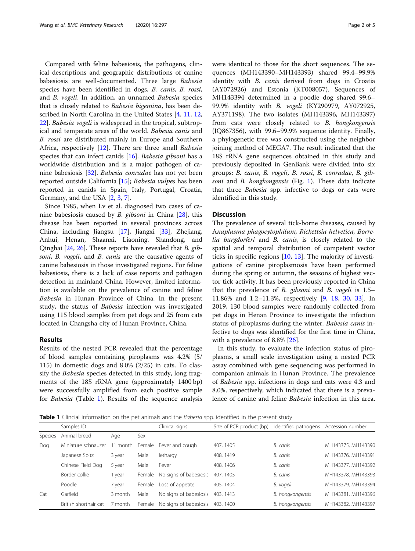Compared with feline babesiosis, the pathogens, clinical descriptions and geographic distributions of canine babesiosis are well-documented. Three large Babesia species have been identified in dogs, B. canis, B. rossi, and B. vogeli. In addition, an unnamed Babesia species that is closely related to Babesia bigemina, has been described in North Carolina in the United States [\[4](#page-3-0), [11](#page-3-0), [12](#page-3-0), [22\]](#page-4-0). Babesia vogeli is widespread in the tropical, subtropical and temperate areas of the world. Babesia canis and B. rossi are distributed mainly in Europe and Southern Africa, respectively [[12\]](#page-3-0). There are three small *Babesia* species that can infect canids [\[16](#page-4-0)]. Babesia gibsoni has a worldwide distribution and is a major pathogen of canine babesiosis [[32](#page-4-0)]. Babesia conradae has not yet been reported outside California [[15](#page-3-0)]; Babesia vulpes has been reported in canids in Spain, Italy, Portugal, Croatia, Germany, and the USA [[2](#page-3-0), [3](#page-3-0), [7](#page-3-0)].

Since 1985, when Lv et al. diagnosed two cases of canine babesiosis caused by *B. gibsoni* in China  $[28]$  $[28]$ , this disease has been reported in several provinces across China, including Jiangsu [[17\]](#page-4-0), Jiangxi [\[33](#page-4-0)], Zhejiang, Anhui, Henan, Shaanxi, Liaoning, Shandong, and Qinghai [\[24](#page-4-0), [26](#page-4-0)]. These reports have revealed that B. gibsoni, B. vogeli, and B. canis are the causative agents of canine babesiosis in those investigated regions. For feline babesiosis, there is a lack of case reports and pathogen detection in mainland China. However, limited information is available on the prevalence of canine and feline Babesia in Hunan Province of China. In the present study, the status of Babesia infection was investigated using 115 blood samples from pet dogs and 25 from cats located in Changsha city of Hunan Province, China.

## Results

Results of the nested PCR revealed that the percentage of blood samples containing piroplasms was 4.2% (5/ 115) in domestic dogs and 8.0% (2/25) in cats. To classify the Babesia species detected in this study, long fragments of the 18S rRNA gene (approximately 1400 bp) were successfully amplified from each positive sample for Babesia (Table 1). Results of the sequence analysis were identical to those for the short sequences. The sequences (MH143390–MH143393) shared 99.4–99.9% identity with *B. canis* derived from dogs in Croatia (AY072926) and Estonia (KT008057). Sequences of MH143394 determined in a poodle dog shared 99.6– 99.9% identity with B. vogeli (KY290979, AY072925, AY371198). The two isolates (MH143396, MH143397) from cats were closely related to B. hongkongensis (JQ867356), with 99.6–99.9% sequence identity. Finally, a phylogenetic tree was constructed using the neighbor joining method of MEGA7. The result indicated that the 18S rRNA gene sequences obtained in this study and previously deposited in GenBank were divided into six groups: B. canis, B. vogeli, B. rossi, B. conradae, B. gibsoni and *B. hongkongensis* (Fig. [1\)](#page-2-0). These data indicate that three Babesia spp. infective to dogs or cats were identified in this study.

#### **Discussion**

The prevalence of several tick-borne diseases, caused by Anaplasma phagocytophilum, Rickettsia helvetica, Borrelia burgdorferi and B. canis, is closely related to the spatial and temporal distribution of competent vector ticks in specific regions [\[10](#page-3-0), [13](#page-3-0)]. The majority of investigations of canine piroplasmosis have been performed during the spring or autumn, the seasons of highest vector tick activity. It has been previously reported in China that the prevalence of  $B$ , gibsoni and  $B$ , vogeli is  $1.5-$ 11.86% and 1.2–11.3%, respectively [\[9](#page-3-0), [18](#page-4-0), [30](#page-4-0), [33](#page-4-0)]. In 2019, 130 blood samples were randomly collected from pet dogs in Henan Province to investigate the infection status of piroplasms during the winter. Babesia canis infective to dogs was identified for the first time in China, with a prevalence of 8.8% [\[26\]](#page-4-0).

In this study, to evaluate the infection status of piroplasms, a small scale investigation using a nested PCR assay combined with gene sequencing was performed in companion animals in Hunan Province. The prevalence of Babesia spp. infections in dogs and cats were 4.3 and 8.0%, respectively, which indicated that there is a prevalence of canine and feline Babesia infection in this area.

Table 1 Clincial information on the pet animals and the Babesia spp. identified in the present study

|                | Samples ID            |                 |        | Clinical signs         | Size of PCR product (bp) | Identified pathogens Accession number |                    |
|----------------|-----------------------|-----------------|--------|------------------------|--------------------------|---------------------------------------|--------------------|
| <b>Species</b> | Animal breed          | Age             | Sex    |                        |                          |                                       |                    |
| Dog            | Miniature schnauzer   | 11 month Female |        | Fever and cough        | 407, 1405                | B. canis                              | MH143375, MH143390 |
|                | Japanese Spitz        | 3 year          | Male   | lethargy               | 408, 1419                | B. canis                              | MH143376, MH143391 |
|                | Chinese Field Dog     | 5 year          | Male   | Fever                  | 408, 1406                | B. canis                              | MH143377, MH143392 |
|                | Border collie         | year            | Female | No signs of babesiosis | 407, 1405                | B. canis                              | MH143378, MH143393 |
|                | Poodle                | 7 year          | Female | Loss of appetite       | 405, 1404                | B. vogeli                             | MH143379, MH143394 |
| Cat            | Garfield              | 3 month         | Male   | No signs of babesiosis | 403, 1413                | B. hongkongensis                      | MH143381, MH143396 |
|                | British shorthair cat | 7 month         | Female | No signs of babesiosis | 403, 1400                | B. hongkongensis                      | MH143382, MH143397 |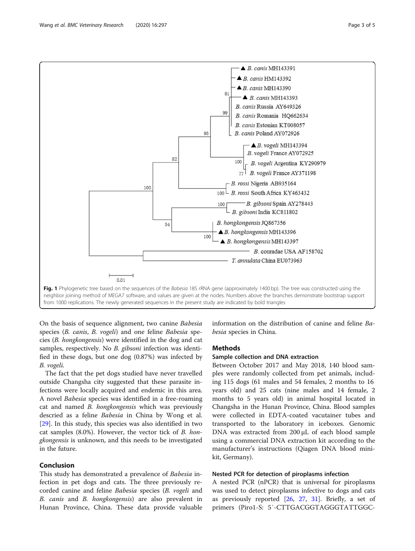<span id="page-2-0"></span>

On the basis of sequence alignment, two canine Babesia species (B. canis, B. vogeli) and one feline Babesia species (B. hongkongensis) were identified in the dog and cat samples, respectively. No B. gibsoni infection was identified in these dogs, but one dog (0.87%) was infected by B. vogeli.

The fact that the pet dogs studied have never travelled outside Changsha city suggested that these parasite infections were locally acquired and endemic in this area. A novel Babesia species was identified in a free-roaming cat and named B. hongkongensis which was previously descried as a feline Babesia in China by Wong et al. [[29\]](#page-4-0). In this study, this species was also identified in two cat samples (8.0%). However, the vector tick of B. hongkongensis is unknown, and this needs to be investigated in the future.

## Conclusion

This study has demonstrated a prevalence of Babesia infection in pet dogs and cats. The three previously recorded canine and feline Babesia species (B. vogeli and B. canis and B. hongkongensis) are also prevalent in Hunan Province, China. These data provide valuable

information on the distribution of canine and feline Babesia species in China.

#### Methods

## Sample collection and DNA extraction

Between October 2017 and May 2018, 140 blood samples were randomly collected from pet animals, including 115 dogs (61 males and 54 females, 2 months to 16 years old) and 25 cats (nine males and 14 female, 2 months to 5 years old) in animal hospital located in Changsha in the Hunan Province, China. Blood samples were collected in EDTA-coated vacutainer tubes and transported to the laboratory in iceboxes. Genomic DNA was extracted from 200 μL of each blood sample using a commercial DNA extraction kit according to the manufacturer's instructions (Qiagen DNA blood minikit, Germany).

### Nested PCR for detection of piroplasms infection

A nested PCR (nPCR) that is universal for piroplasms was used to detect piroplasms infective to dogs and cats as previously reported  $[26, 27, 31]$  $[26, 27, 31]$  $[26, 27, 31]$  $[26, 27, 31]$  $[26, 27, 31]$  $[26, 27, 31]$ . Briefly, a set of primers (Piro1-S: 5′-CTTGACGGTAGGGTATTGGC-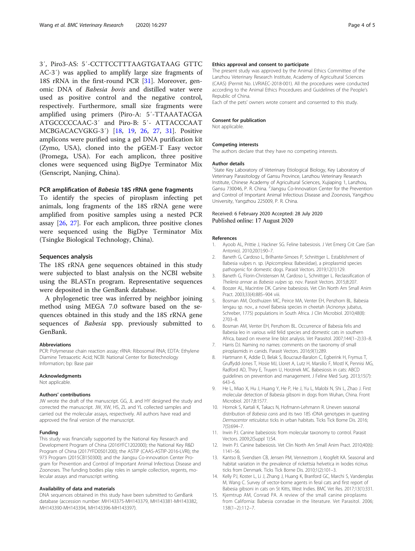<span id="page-3-0"></span>3′, Piro3-AS: 5′-CCTTCCTTTAAGTGATAAG GTTC AC-3′) was applied to amplify large size fragments of 18S rRNA in the first-round PCR [[31\]](#page-4-0). Moreover, genomic DNA of Babesia bovis and distilled water were used as positive control and the negative control, respectively. Furthermore, small size fragments were amplified using primers (Piro-A: 5′-TTAAATACGA ATGCCCCCAAC-3′ and Piro-B: 5′- ATTACCCAAT MCBGACACVGKG-3′) [\[18](#page-4-0), [19](#page-4-0), [26](#page-4-0), [27](#page-4-0), [31\]](#page-4-0). Positive amplicons were purified using a gel DNA purification kit (Zymo, USA), cloned into the pGEM-T Easy vector (Promega, USA). For each amplicon, three positive clones were sequenced using BigDye Terminator Mix (Genscript, Nanjing, China).

## PCR amplification of Babesia 18S rRNA gene fragments

To identify the species of piroplasm infecting pet animals, long fragments of the 18S rRNA gene were amplified from positive samples using a nested PCR assay [[26,](#page-4-0) [27\]](#page-4-0). For each amplicon, three positive clones were sequenced using the BigDye Terminator Mix (Tsingke Biological Technology, China).

#### Sequences analysis

The 18S rRNA gene sequences obtained in this study were subjected to blast analysis on the NCBI website using the BLASTn program. Representative sequences were deposited in the GenBank database.

A phylogenetic tree was inferred by neighbor joining method using MEGA 7.0 software based on the sequences obtained in this study and the 18S rRNA gene sequences of Babesia spp. previously submitted to GenBank.

#### Abbreviations

PCR: Polymerase chain reaction assay; rRNA: Ribosomal RNA; EDTA: Ethylene Diamine Tetraacetic Acid; NCBI: National Center for Biotechnology Information; bp: Base pair

#### Acknowledgments

Not applicable.

#### Authors' contributions

JW wrote the draft of the manuscript. GG, JL and HY designed the study and corrected the manuscript. JW, XW, HS, ZL and YL collected samples and carried out the molecular assays, respectively. All authors have read and approved the final version of the manuscript.

#### Funding

This study was financially supported by the National Key Research and Development Program of China (2016YFC1202000); the National Key R&D Program of China (2017YFD0501200); the ASTIP (CAAS-ASTIP-2016-LVRI); the 973 Program (2015CB150300); and the Jiangsu Co-innovation Center Program for Prevention and Control of Important Animal Infectious Disease and Zoonoses. The funding bodies play roles in sample collection, regents, molecular assays and manuscript writing.

#### Availability of data and materials

DNA sequences obtained in this study have been submitted to GenBank database (accession number: MH143375-MH143379, MH143381-MH143382, MH143390-MH143394, MH143396-MH143397).

#### Ethics approval and consent to participate

The present study was approved by the Animal Ethics Committee of the Lanzhou Veterinary Research Institute, Academy of Agricultural Sciences (CAAS) (Permit No. LVRIAEC-2018-001). All the procedures were conducted according to the Animal Ethics Procedures and Guidelines of the People's Republic of China.

Each of the pets' owners wrote consent and consented to this study.

#### Consent for publication

Not applicable.

#### Competing interests

The authors declare that they have no competing interests.

#### Author details

<sup>1</sup>State Key Laboratory of Veterinary Etiological Biology, Key Laboratory of Veterinary Parasitology of Gansu Province, Lanzhou Veterinary Research Institute, Chinese Academy of Agricultural Sciences, Xujiaping 1, Lanzhou, Gansu 730046, P. R. China. <sup>2</sup> Jiangsu Co-Innovation Center for the Prevention and Control of Important Animal Infectious Disease and Zoonosis, Yangzhou University, Yangzhou 225009, P. R. China.

#### Received: 6 February 2020 Accepted: 28 July 2020 Published online: 17 August 2020

#### References

- 1. Ayoob AL, Prittie J, Hackner SG. Feline babesiosis. J Vet Emerg Crit Care (San Antonio). 2010;20(1):90–7.
- 2. Baneth G, Cardoso L, Brilhante-Simoes P, Schnittger L. Establishment of Babesia vulpes n. sp. (Apicomplexa: Babesiidae), a piroplasmid species pathogenic for domestic dogs. Parasit Vectors. 2019;12(1):129.
- 3. Baneth G, Florin-Christensen M, Cardoso L, Schnittger L. Reclassification of Theileria annae as Babesia vulpes sp. nov. Parasit Vectors. 2015;8:207.
- 4. Boozer AL, Macintire DK. Canine babesiosis. Vet Clin North Am Small Anim Pract. 2003;33(4):885–904 viii.
- 5. Bosman AM, Oosthuizen MC, Peirce MA, Venter EH, Penzhorn BL. Babesia lengau sp. nov., a novel Babesia species in cheetah (Acinonyx jubatus, Schreber, 1775) populations in South Africa. J Clin Microbiol. 2010;48(8): 2703–8.
- 6. Bosman AM, Venter EH, Penzhorn BL. Occurrence of Babesia felis and Babesia leo in various wild felid species and domestic cats in southern Africa, based on reverse line blot analysis. Vet Parasitol. 2007;144(1–2):33–8.
- 7. Harris DJ. Naming no names: comments on the taxonomy of small piroplasmids in canids. Parasit Vectors. 2016;9(1):289.
- 8. Hartmann K, Addie D, Belak S, Boucraut-Baralon C, Egberink H, Frymus T, Gruffydd-Jones T, Hosie MJ, Lloret A, Lutz H, Marsilio F, Mostl K, Pennisi MG, Radford AD, Thiry E, Truyen U, Horzinek MC. Babesiosis in cats: ABCD guidelines on prevention and management. J Feline Med Surg. 2013;15(7): 643–6.
- 9. He L, Miao X, Hu J, Huang Y, He P, He J, Yu L, Malobi N, Shi L, Zhao J. First molecular detection of Babesia gibsoni in dogs from Wuhan, China. Front Microbiol. 2017;8:1577.
- 10. Hornok S, Kartali K, Takacs N, Hofmann-Lehmann R. Uneven seasonal distribution of Babesia canis and its two 18S rDNA genotypes in questing Dermacentor reticulatus ticks in urban habitats. Ticks Tick Borne Dis. 2016; 7(5):694–7.
- 11. Irwin PJ. Canine babesiosis: from molecular taxonomy to control. Parasit Vectors. 2009;2(Suppl 1):S4.
- 12. Irwin PJ. Canine babesiosis. Vet Clin North Am Small Anim Pract. 2010;40(6): 1141–56.
- 13. Kantso B, Svendsen CB, Jensen PM, Vennestrom J, Krogfelt KA. Seasonal and habitat variation in the prevalence of rickettsia helvetica in Ixodes ricinus ticks from Denmark. Ticks Tick Borne Dis. 2010;1(2):101–3.
- 14. Kelly PJ, Koster L, Li J, Zhang J, Huang K, Branford GC, Marchi S, Vandenplas M, Wang C. Survey of vector-borne agents in feral cats and first report of Babesia gibsoni in cats on St Kitts, West Indies. BMC Vet Res. 2017;13(1):331.
- 15. Kjemtrup AM, Conrad PA. A review of the small canine piroplasms from California: Babesia conradae in the literature. Vet Parasitol. 2006; 138(1–2):112–7.